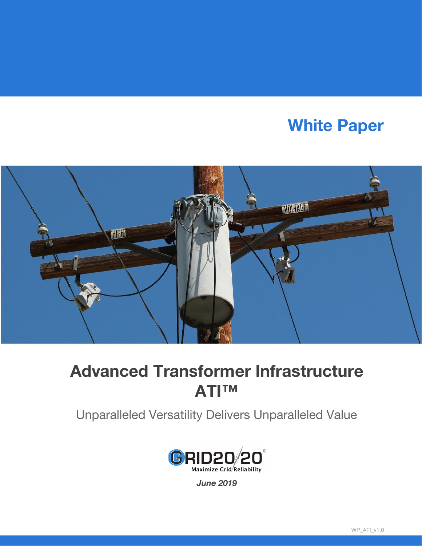# **White Paper**



## **Advanced Transformer Infrastructure ATI™**

Unparalleled Versatility Delivers Unparalleled Value



*June 2019*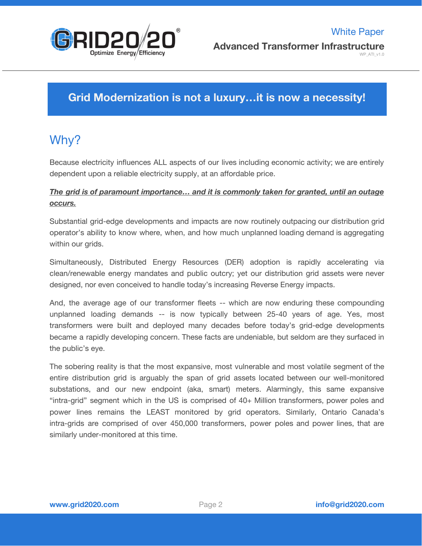

### **Grid Modernization is not a luxury…it is now a necessity!**

## Why?

Because electricity influences ALL aspects of our lives including economic activity; we are entirely dependent upon a reliable electricity supply, at an affordable price.

### *The grid is of paramount importance… and it is commonly taken for granted, until an outage occurs.*

Substantial grid-edge developments and impacts are now routinely outpacing our distribution grid operator's ability to know where, when, and how much unplanned loading demand is aggregating within our grids.

Simultaneously, Distributed Energy Resources (DER) adoption is rapidly accelerating via clean/renewable energy mandates and public outcry; yet our distribution grid assets were never designed, nor even conceived to handle today's increasing Reverse Energy impacts.

And, the average age of our transformer fleets -- which are now enduring these compounding unplanned loading demands -- is now typically between 25-40 years of age. Yes, most transformers were built and deployed many decades before today's grid-edge developments became a rapidly developing concern. These facts are undeniable, but seldom are they surfaced in the public's eye.

The sobering reality is that the most expansive, most vulnerable and most volatile segment of the entire distribution grid is arguably the span of grid assets located between our well-monitored substations, and our new endpoint (aka, smart) meters. Alarmingly, this same expansive "intra-grid" segment which in the US is comprised of 40+ Million transformers, power poles and power lines remains the LEAST monitored by grid operators. Similarly, Ontario Canada's intra-grids are comprised of over 450,000 transformers, power poles and power lines, that are similarly under-monitored at this time.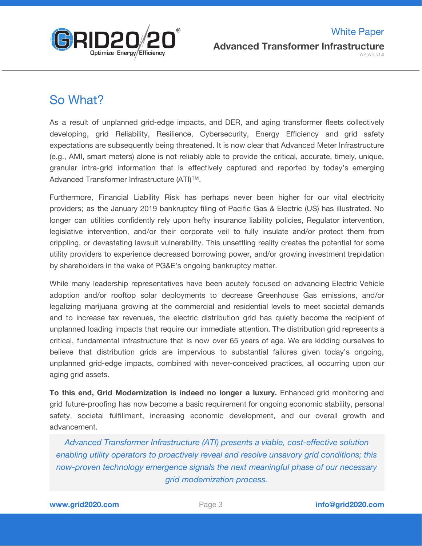

## So What?

As a result of unplanned grid-edge impacts, and DER, and aging transformer fleets collectively developing, grid Reliability, Resilience, Cybersecurity, Energy Efficiency and grid safety expectations are subsequently being threatened. It is now clear that Advanced Meter Infrastructure (e.g., AMI, smart meters) alone is not reliably able to provide the critical, accurate, timely, unique, granular intra-grid information that is effectively captured and reported by today's emerging Advanced Transformer Infrastructure (ATI)™.

Furthermore, Financial Liability Risk has perhaps never been higher for our vital electricity providers; as the January 2019 bankruptcy filing of Pacific Gas & Electric (US) has illustrated. No longer can utilities confidently rely upon hefty insurance liability policies, Regulator intervention, legislative intervention, and/or their corporate veil to fully insulate and/or protect them from crippling, or devastating lawsuit vulnerability. This unsettling reality creates the potential for some utility providers to experience decreased borrowing power, and/or growing investment trepidation by shareholders in the wake of PG&E's ongoing bankruptcy matter.

While many leadership representatives have been acutely focused on advancing Electric Vehicle adoption and/or rooftop solar deployments to decrease Greenhouse Gas emissions, and/or legalizing marijuana growing at the commercial and residential levels to meet societal demands and to increase tax revenues, the electric distribution grid has quietly become the recipient of unplanned loading impacts that require our immediate attention. The distribution grid represents a critical, fundamental infrastructure that is now over 65 years of age. We are kidding ourselves to believe that distribution grids are impervious to substantial failures given today's ongoing, unplanned grid-edge impacts, combined with never-conceived practices, all occurring upon our aging grid assets.

**To this end, Grid Modernization is indeed no longer a luxury.** Enhanced grid monitoring and grid future-proofing has now become a basic requirement for ongoing economic stability, personal safety, societal fulfillment, increasing economic development, and our overall growth and advancement.

*Advanced Transformer Infrastructure (ATI) presents a viable, cost-effective solution enabling utility operators to proactively reveal and resolve unsavory grid conditions; this now-proven technology emergence signals the next meaningful phase of our necessary grid modernization process.*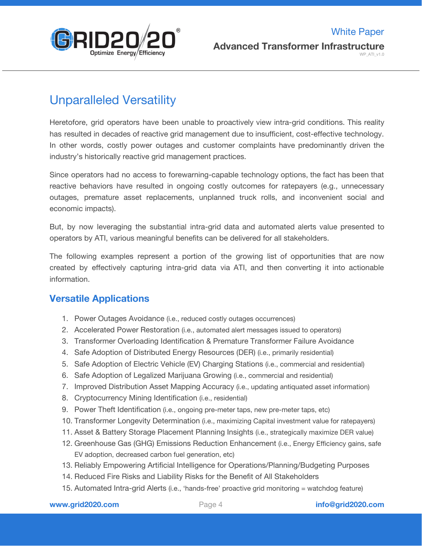

## Unparalleled Versatility

Heretofore, grid operators have been unable to proactively view intra-grid conditions. This reality has resulted in decades of reactive grid management due to insufficient, cost-effective technology. In other words, costly power outages and customer complaints have predominantly driven the industry's historically reactive grid management practices.

Since operators had no access to forewarning-capable technology options, the fact has been that reactive behaviors have resulted in ongoing costly outcomes for ratepayers (e.g., unnecessary outages, premature asset replacements, unplanned truck rolls, and inconvenient social and economic impacts).

But, by now leveraging the substantial intra-grid data and automated alerts value presented to operators by ATI, various meaningful benefits can be delivered for all stakeholders.

The following examples represent a portion of the growing list of opportunities that are now created by effectively capturing intra-grid data via ATI, and then converting it into actionable information.

### **Versatile Applications**

- 1. Power Outages Avoidance (i.e., reduced costly outages occurrences)
- 2. Accelerated Power Restoration (i.e., automated alert messages issued to operators)
- 3. Transformer Overloading Identification & Premature Transformer Failure Avoidance
- 4. Safe Adoption of Distributed Energy Resources (DER) (i.e., primarily residential)
- 5. Safe Adoption of Electric Vehicle (EV) Charging Stations (i.e., commercial and residential)
- 6. Safe Adoption of Legalized Marijuana Growing (i.e., commercial and residential)
- 7. Improved Distribution Asset Mapping Accuracy (i.e., updating antiquated asset information)
- 8. Cryptocurrency Mining Identification (i.e., residential)
- 9. Power Theft Identification (i.e., ongoing pre-meter taps, new pre-meter taps, etc)
- 10. Transformer Longevity Determination (i.e., maximizing Capital investment value for ratepayers)
- 11. Asset & Battery Storage Placement Planning Insights (i.e., strategically maximize DER value)
- 12. Greenhouse Gas (GHG) Emissions Reduction Enhancement (i.e., Energy Efficiency gains, safe EV adoption, decreased carbon fuel generation, etc)
- 13. Reliably Empowering Artificial Intelligence for Operations/Planning/Budgeting Purposes
- 14. Reduced Fire Risks and Liability Risks for the Benefit of All Stakeholders
- 15. Automated Intra-grid Alerts (i.e., 'hands-free' proactive grid monitoring = watchdog feature)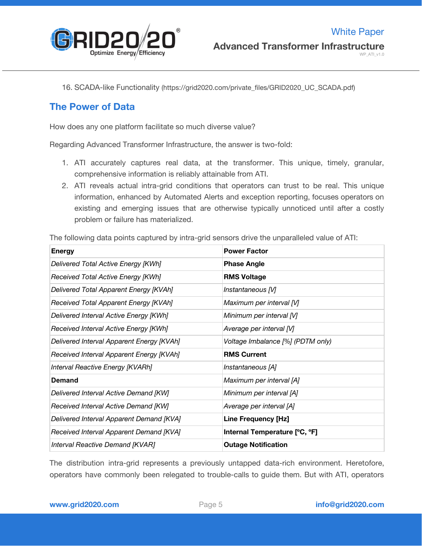

16. SCADA-like Functionality (https://grid2020.com/private\_files/GRID2020\_UC\_SCADA.pdf)

### **The Power of Data**

How does any one platform facilitate so much diverse value?

Regarding Advanced Transformer Infrastructure, the answer is two-fold:

- 1. ATI accurately captures real data, at the transformer. This unique, timely, granular, comprehensive information is reliably attainable from ATI.
- 2. ATI reveals actual intra-grid conditions that operators can trust to be real. This unique information, enhanced by Automated Alerts and exception reporting, focuses operators on existing and emerging issues that are otherwise typically unnoticed until after a costly problem or failure has materialized.

The following data points captured by intra-grid sensors drive the unparalleled value of ATI:

| <b>Energy</b>                             | <b>Power Factor</b>               |
|-------------------------------------------|-----------------------------------|
| Delivered Total Active Energy [KWh]       | <b>Phase Angle</b>                |
| Received Total Active Energy [KWh]        | <b>RMS Voltage</b>                |
| Delivered Total Apparent Energy [KVAh]    | Instantaneous [V]                 |
| Received Total Apparent Energy [KVAh]     | Maximum per interval [V]          |
| Delivered Interval Active Energy [KWh]    | Minimum per interval [V]          |
| Received Interval Active Energy [KWh]     | Average per interval [V]          |
| Delivered Interval Apparent Energy [KVAh] | Voltage Imbalance [%] (PDTM only) |
| Received Interval Apparent Energy [KVAh]  | <b>RMS Current</b>                |
| Interval Reactive Energy [KVARh]          | Instantaneous [A]                 |
| Demand                                    | Maximum per interval [A]          |
| Delivered Interval Active Demand [KW]     | Minimum per interval [A]          |
| Received Interval Active Demand [KW]      | Average per interval [A]          |
| Delivered Interval Apparent Demand [KVA]  | <b>Line Frequency [Hz]</b>        |
| Received Interval Apparent Demand [KVA]   | Internal Temperature [°C, °F]     |
| <b>Interval Reactive Demand [KVAR]</b>    | <b>Outage Notification</b>        |

The distribution intra-grid represents a previously untapped data-rich environment. Heretofore, operators have commonly been relegated to trouble-calls to guide them. But with ATI, operators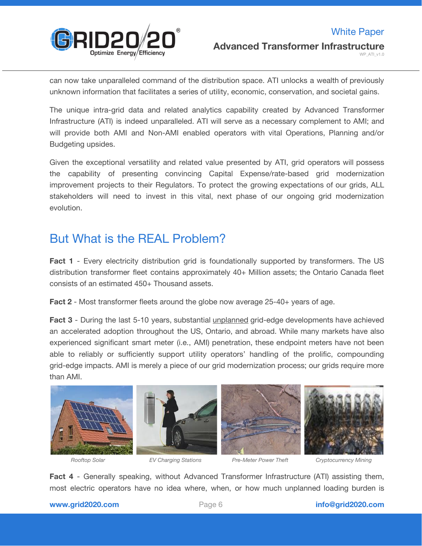

can now take unparalleled command of the distribution space. ATI unlocks a wealth of previously unknown information that facilitates a series of utility, economic, conservation, and societal gains.

The unique intra-grid data and related analytics capability created by Advanced Transformer Infrastructure (ATI) is indeed unparalleled. ATI will serve as a necessary complement to AMI; and will provide both AMI and Non-AMI enabled operators with vital Operations, Planning and/or Budgeting upsides.

Given the exceptional versatility and related value presented by ATI, grid operators will possess the capability of presenting convincing Capital Expense/rate-based grid modernization improvement projects to their Regulators. To protect the growing expectations of our grids, ALL stakeholders will need to invest in this vital, next phase of our ongoing grid modernization evolution.

## But What is the REAL Problem?

**Fact 1** - Every electricity distribution grid is foundationally supported by transformers. The US distribution transformer fleet contains approximately 40+ Million assets; the Ontario Canada fleet consists of an estimated 450+ Thousand assets.

**Fact 2** - Most transformer fleets around the globe now average 25-40+ years of age.

**Fact 3** - During the last 5-10 years, substantial unplanned grid-edge developments have achieved an accelerated adoption throughout the US, Ontario, and abroad. While many markets have also experienced significant smart meter (i.e., AMI) penetration, these endpoint meters have not been able to reliably or sufficiently support utility operators' handling of the prolific, compounding grid-edge impacts. AMI is merely a piece of our grid modernization process; our grids require more than AMI.









*Rooftop Solar EV Charging Stations Pre-Meter Power Theft Cryptocurrency Mining*

**Fact 4** - Generally speaking, without Advanced Transformer Infrastructure (ATI) assisting them, most electric operators have no idea where, when, or how much unplanned loading burden is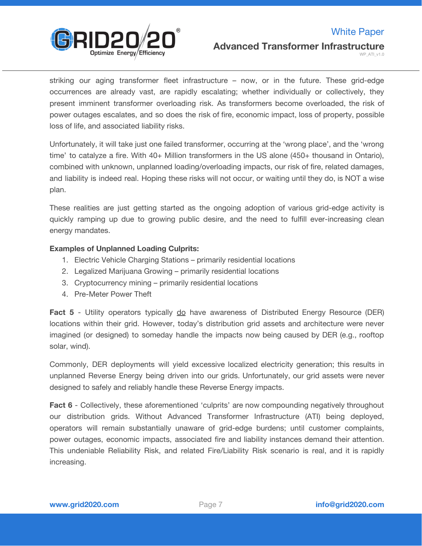

WP\_ATI\_v1.0

striking our aging transformer fleet infrastructure – now, or in the future. These grid-edge occurrences are already vast, are rapidly escalating; whether individually or collectively, they present imminent transformer overloading risk. As transformers become overloaded, the risk of power outages escalates, and so does the risk of fire, economic impact, loss of property, possible loss of life, and associated liability risks.

Unfortunately, it will take just one failed transformer, occurring at the 'wrong place', and the 'wrong time' to catalyze a fire. With 40+ Million transformers in the US alone (450+ thousand in Ontario), combined with unknown, unplanned loading/overloading impacts, our risk of fire, related damages, and liability is indeed real. Hoping these risks will not occur, or waiting until they do, is NOT a wise plan.

These realities are just getting started as the ongoing adoption of various grid-edge activity is quickly ramping up due to growing public desire, and the need to fulfill ever-increasing clean energy mandates.

#### **Examples of Unplanned Loading Culprits:**

- 1. Electric Vehicle Charging Stations primarily residential locations
- 2. Legalized Marijuana Growing primarily residential locations
- 3. Cryptocurrency mining primarily residential locations
- 4. Pre-Meter Power Theft

**Fact 5** - Utility operators typically do have awareness of Distributed Energy Resource (DER) locations within their grid. However, today's distribution grid assets and architecture were never imagined (or designed) to someday handle the impacts now being caused by DER (e.g., rooftop solar, wind).

Commonly, DER deployments will yield excessive localized electricity generation; this results in unplanned Reverse Energy being driven into our grids. Unfortunately, our grid assets were never designed to safely and reliably handle these Reverse Energy impacts.

**Fact 6** - Collectively, these aforementioned 'culprits' are now compounding negatively throughout our distribution grids. Without Advanced Transformer Infrastructure (ATI) being deployed, operators will remain substantially unaware of grid-edge burdens; until customer complaints, power outages, economic impacts, associated fire and liability instances demand their attention. This undeniable Reliability Risk, and related Fire/Liability Risk scenario is real, and it is rapidly increasing.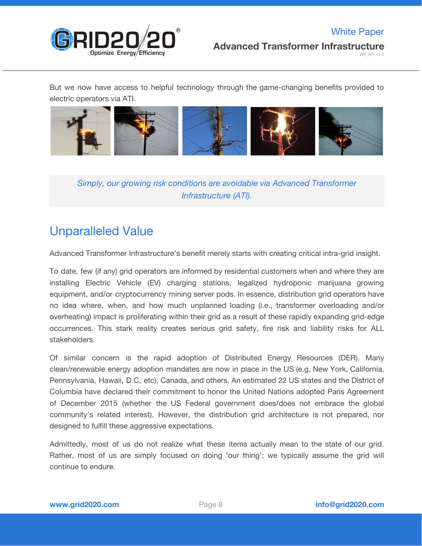

But we now have access to helpful technology through the game-changing benefits provided to electric operators via ATI.



*Simply, our growing risk conditions are avoidable via Advanced Transformer Infrastructure (ATI).*

## Unparalleled Value

Advanced Transformer Infrastructure's benefit merely starts with creating critical intra-grid insight.

To date, few (if any) grid operators are informed by residential customers when and where they are installing Electric Vehicle (EV) charging stations, legalized hydroponic marijuana growing equipment, and/or cryptocurrency mining server pods. In essence, distribution grid operators have no idea where, when, and how much unplanned loading (i.e., transformer overloading and/or overheating) impact is proliferating within their grid as a result of these rapidly expanding grid-edge occurrences. This stark reality creates serious grid safety, fire risk and liability risks for ALL stakeholders.

Of similar concern is the rapid adoption of Distributed Energy Resources (DER). Many clean/renewable energy adoption mandates are now in place in the US (e.g, New York, California, Pennsylvania, Hawaii, D.C, etc), Canada, and others. An estimated 22 US states and the District of Columbia have declared their commitment to honor the United Nations adopted Paris Agreement of December 2015 (whether the US Federal government does/does not embrace the global community's related interest). However, the distribution grid architecture is not prepared, nor designed to fulfill these aggressive expectations.

Admittedly, most of us do not realize what these items actually mean to the state of our grid. Rather, most of us are simply focused on doing 'our thing'; we typically assume the grid will continue to endure.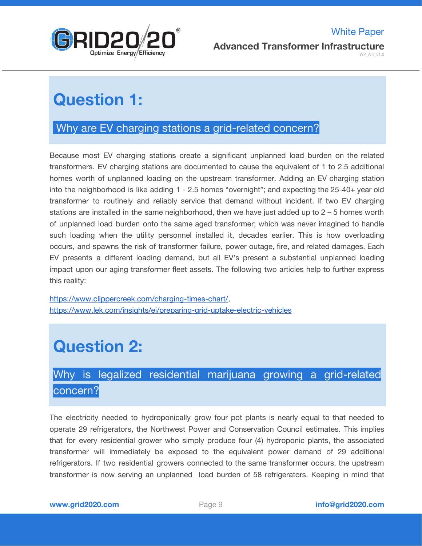

# **Question 1:**

### Why are EV charging stations a grid-related concern?

Because most EV charging stations create a significant unplanned load burden on the related transformers. EV charging stations are documented to cause the equivalent of 1 to 2.5 additional homes worth of unplanned loading on the upstream transformer. Adding an EV charging station into the neighborhood is like adding 1 - 2.5 homes "overnight"; and expecting the 25-40+ year old transformer to routinely and reliably service that demand without incident. If two EV charging stations are installed in the same neighborhood, then we have just added up to 2 – 5 homes worth of unplanned load burden onto the same aged transformer; which was never imagined to handle such loading when the utility personnel installed it, decades earlier. This is how overloading occurs, and spawns the risk of transformer failure, power outage, fire, and related damages. Each EV presents a different loading demand, but all EV's present a substantial unplanned loading impact upon our aging transformer fleet assets. The following two articles help to further express this reality:

[https://www.clippercreek.com/charging-times-chart/,](https://www.clippercreek.com/charging-times-chart/) <https://www.lek.com/insights/ei/preparing-grid-uptake-electric-vehicles>

# **Question 2:**

## Why is legalized residential marijuana growing a grid-related concern?

The electricity needed to hydroponically grow four pot plants is nearly equal to that needed to operate 29 refrigerators, the Northwest Power and Conservation Council estimates. This implies that for every residential grower who simply produce four (4) hydroponic plants, the associated transformer will immediately be exposed to the equivalent power demand of 29 additional refrigerators. If two residential growers connected to the same transformer occurs, the upstream transformer is now serving an unplanned load burden of 58 refrigerators. Keeping in mind that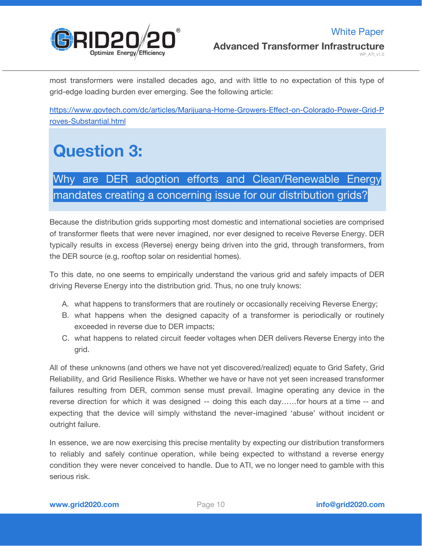

most transformers were installed decades ago, and with little to no expectation of this type of grid-edge loading burden ever emerging. See the following article:

[https://www.govtech.com/dc/articles/Marijuana-Home-Growers-Effect-on-Colorado-Power-Grid-P](https://www.govtech.com/dc/articles/Marijuana-Home-Growers-Effect-on-Colorado-Power-Grid-Proves-Substantial.html) [roves-Substantial.html](https://www.govtech.com/dc/articles/Marijuana-Home-Growers-Effect-on-Colorado-Power-Grid-Proves-Substantial.html)

# **Question 3:**

## Why are DER adoption efforts and Clean/Renewable Energy mandates creating a concerning issue for our distribution grids?

Because the distribution grids supporting most domestic and international societies are comprised of transformer fleets that were never imagined, nor ever designed to receive Reverse Energy. DER typically results in excess (Reverse) energy being driven into the grid, through transformers, from the DER source (e.g, rooftop solar on residential homes).

To this date, no one seems to empirically understand the various grid and safely impacts of DER driving Reverse Energy into the distribution grid. Thus, no one truly knows:

- A. what happens to transformers that are routinely or occasionally receiving Reverse Energy;
- B. what happens when the designed capacity of a transformer is periodically or routinely exceeded in reverse due to DER impacts;
- C. what happens to related circuit feeder voltages when DER delivers Reverse Energy into the grid.

All of these unknowns (and others we have not yet discovered/realized) equate to Grid Safety, Grid Reliability, and Grid Resilience Risks. Whether we have or have not yet seen increased transformer failures resulting from DER, common sense must prevail. Imagine operating any device in the reverse direction for which it was designed -- doing this each day……for hours at a time -- and expecting that the device will simply withstand the never-imagined 'abuse' without incident or outright failure.

In essence, we are now exercising this precise mentality by expecting our distribution transformers to reliably and safely continue operation, while being expected to withstand a reverse energy condition they were never conceived to handle. Due to ATI, we no longer need to gamble with this serious risk.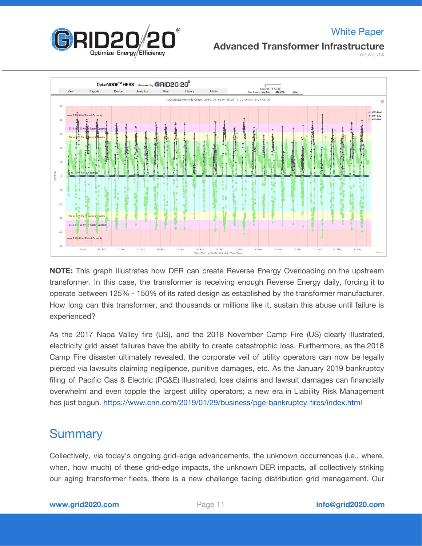

### White Paper

#### **Advanced Transformer Infrastructure**

WP\_ATI\_v1.0



**NOTE:** This graph illustrates how DER can create Reverse Energy Overloading on the upstream transformer. In this case, the transformer is receiving enough Reverse Energy daily, forcing it to operate between 125% - 150% of its rated design as established by the transformer manufacturer. How long can this transformer, and thousands or millions like it, sustain this abuse until failure is experienced?

As the 2017 Napa Valley fire (US), and the 2018 November Camp Fire (US) clearly illustrated, electricity grid asset failures have the ability to create catastrophic loss. Furthermore, as the 2018 Camp Fire disaster ultimately revealed, the corporate veil of utility operators can now be legally pierced via lawsuits claiming negligence, punitive damages, etc. As the January 2019 bankruptcy filing of Pacific Gas & Electric (PG&E) illustrated, loss claims and lawsuit damages can financially overwhelm and even topple the largest utility operators; a new era in Liability Risk Management has just begun. <https://www.cnn.com/2019/01/29/business/pge-bankruptcy-fires/index.html>

### **Summary**

Collectively, via today's ongoing grid-edge advancements, the unknown occurrences (i.e., where, when, how much) of these grid-edge impacts, the unknown DER impacts, all collectively striking our aging transformer fleets, there is a new challenge facing distribution grid management. Our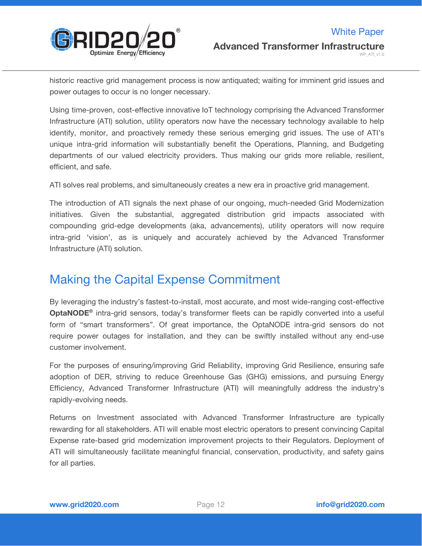

historic reactive grid management process is now antiquated; waiting for imminent grid issues and power outages to occur is no longer necessary.

Using time-proven, cost-effective innovative IoT technology comprising the Advanced Transformer Infrastructure (ATI) solution, utility operators now have the necessary technology available to help identify, monitor, and proactively remedy these serious emerging grid issues. The use of ATI's unique intra-grid information will substantially benefit the Operations, Planning, and Budgeting departments of our valued electricity providers. Thus making our grids more reliable, resilient, efficient, and safe.

ATI solves real problems, and simultaneously creates a new era in proactive grid management.

The introduction of ATI signals the next phase of our ongoing, much-needed Grid Modernization initiatives. Given the substantial, aggregated distribution grid impacts associated with compounding grid-edge developments (aka, advancements), utility operators will now require intra-grid 'vision', as is uniquely and accurately achieved by the Advanced Transformer Infrastructure (ATI) solution.

### Making the Capital Expense Commitment

By leveraging the industry's fastest-to-install, most accurate, and most wide-ranging cost-effective **OptaNODE ®** intra-grid sensors, today's transformer fleets can be rapidly converted into a useful form of "smart transformers". Of great importance, the OptaNODE intra-grid sensors do not require power outages for installation, and they can be swiftly installed without any end-use customer involvement.

For the purposes of ensuring/improving Grid Reliability, improving Grid Resilience, ensuring safe adoption of DER, striving to reduce Greenhouse Gas (GHG) emissions, and pursuing Energy Efficiency, Advanced Transformer Infrastructure (ATI) will meaningfully address the industry's rapidly-evolving needs.

Returns on Investment associated with Advanced Transformer Infrastructure are typically rewarding for all stakeholders. ATI will enable most electric operators to present convincing Capital Expense rate-based grid modernization improvement projects to their Regulators. Deployment of ATI will simultaneously facilitate meaningful financial, conservation, productivity, and safety gains for all parties.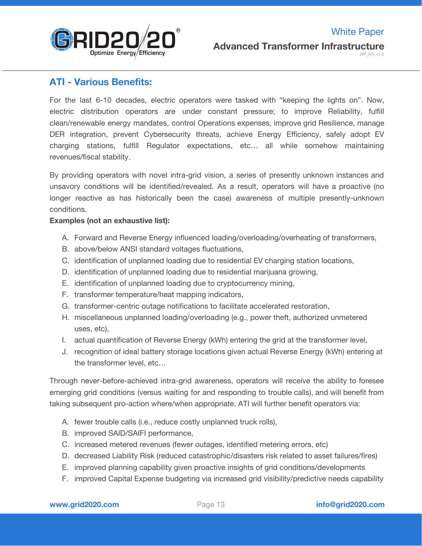

### **ATI - Various Benefits:**

For the last 6-10 decades, electric operators were tasked with "keeping the lights on". Now, electric distribution operators are under constant pressure; to improve Reliability, fulfill clean/renewable energy mandates, control Operations expenses, improve grid Resilience, manage DER integration, prevent Cybersecurity threats, achieve Energy Efficiency, safely adopt EV charging stations, fulfill Regulator expectations, etc… all while somehow maintaining revenues/fiscal stability.

By providing operators with novel intra-grid vision, a series of presently unknown instances and unsavory conditions will be identified/revealed. As a result, operators will have a proactive (no longer reactive as has historically been the case) awareness of multiple presently-unknown conditions.

#### **Examples (not an exhaustive list):**

- A. Forward and Reverse Energy influenced loading/overloading/overheating of transformers,
- B. above/below ANSI standard voltages fluctuations,
- C. identification of unplanned loading due to residential EV charging station locations,
- D. identification of unplanned loading due to residential marijuana growing,
- E. identification of unplanned loading due to cryptocurrency mining,
- F. transformer temperature/heat mapping indicators,
- G. transformer-centric outage notifications to facilitate accelerated restoration,
- H. miscellaneous unplanned loading/overloading (e.g., power theft, authorized unmetered uses, etc),
- I. actual quantification of Reverse Energy (kWh) entering the grid at the transformer level,
- J. recognition of ideal battery storage locations given actual Reverse Energy (kWh) entering at the transformer level, etc…

Through never-before-achieved intra-grid awareness, operators will receive the ability to foresee emerging grid conditions (versus waiting for and responding to trouble calls), and will benefit from taking subsequent pro-action where/when appropriate. ATI will further benefit operators via:

- A. fewer trouble calls (i.e., reduce costly unplanned truck rolls),
- B. improved SAID/SAIFI performance,
- C. increased metered revenues (fewer outages, identified metering errors, etc)
- D. decreased Liability Risk (reduced catastrophic/disasters risk related to asset failures/fires)
- E. improved planning capability given proactive insights of grid conditions/developments
- F. improved Capital Expense budgeting via increased grid visibility/predictive needs capability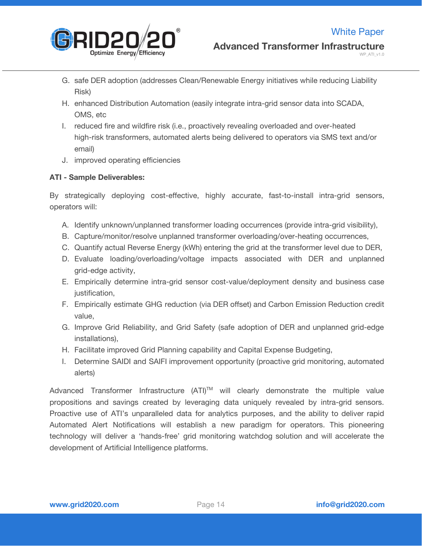

- G. safe DER adoption (addresses Clean/Renewable Energy initiatives while reducing Liability Risk)
- H. enhanced Distribution Automation (easily integrate intra-grid sensor data into SCADA, OMS, etc
- I. reduced fire and wildfire risk (i.e., proactively revealing overloaded and over-heated high-risk transformers, automated alerts being delivered to operators via SMS text and/or email)
- J. improved operating efficiencies

#### **ATI - Sample Deliverables:**

By strategically deploying cost-effective, highly accurate, fast-to-install intra-grid sensors, operators will:

- A. Identify unknown/unplanned transformer loading occurrences (provide intra-grid visibility),
- B. Capture/monitor/resolve unplanned transformer overloading/over-heating occurrences,
- C. Quantify actual Reverse Energy (kWh) entering the grid at the transformer level due to DER,
- D. Evaluate loading/overloading/voltage impacts associated with DER and unplanned grid-edge activity,
- E. Empirically determine intra-grid sensor cost-value/deployment density and business case justification,
- F. Empirically estimate GHG reduction (via DER offset) and Carbon Emission Reduction credit value,
- G. Improve Grid Reliability, and Grid Safety (safe adoption of DER and unplanned grid-edge installations),
- H. Facilitate improved Grid Planning capability and Capital Expense Budgeting,
- I. Determine SAIDI and SAIFI improvement opportunity (proactive grid monitoring, automated alerts)

Advanced Transformer Infrastructure (ATI)<sup>™</sup> will clearly demonstrate the multiple value propositions and savings created by leveraging data uniquely revealed by intra-grid sensors. Proactive use of ATI's unparalleled data for analytics purposes, and the ability to deliver rapid Automated Alert Notifications will establish a new paradigm for operators. This pioneering technology will deliver a 'hands-free' grid monitoring watchdog solution and will accelerate the development of Artificial Intelligence platforms.